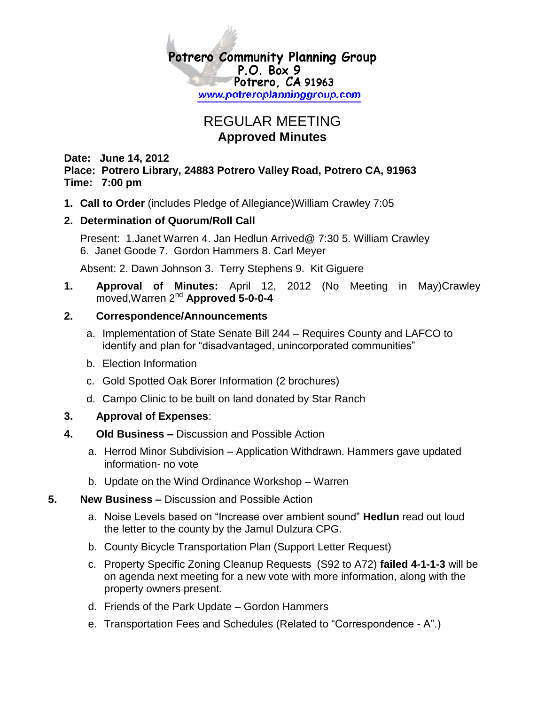

# REGULAR MEETING **Approved Minutes**

**Date: June 14, 2012 Place: Potrero Library, 24883 Potrero Valley Road, Potrero CA, 91963 Time: 7:00 pm**

**1. Call to Order** (includes Pledge of Allegiance)William Crawley 7:05

### **2. Determination of Quorum/Roll Call**

Present: 1.Janet Warren 4. Jan Hedlun Arrived@ 7:30 5. William Crawley 6. Janet Goode 7. Gordon Hammers 8. Carl Meyer

Absent: 2. Dawn Johnson 3. Terry Stephens 9. Kit Giguere

**1. Approval of Minutes:** April 12, 2012 (No Meeting in May)Crawley moved,Warren 2nd **Approved 5-0-0-4**

## **2. Correspondence/Announcements**

- a. Implementation of State Senate Bill 244 Requires County and LAFCO to identify and plan for "disadvantaged, unincorporated communities"
- b. Election Information
- c. Gold Spotted Oak Borer Information (2 brochures)
- d. Campo Clinic to be built on land donated by Star Ranch

### **3. Approval of Expenses**:

### **4. Old Business –** Discussion and Possible Action

- a. Herrod Minor Subdivision Application Withdrawn. Hammers gave updated information- no vote
- b. Update on the Wind Ordinance Workshop Warren

### **5. New Business –** Discussion and Possible Action

- a. Noise Levels based on "Increase over ambient sound" **Hedlun** read out loud the letter to the county by the Jamul Dulzura CPG.
- b. County Bicycle Transportation Plan (Support Letter Request)
- c. Property Specific Zoning Cleanup Requests (S92 to A72) **failed 4-1-1-3** will be on agenda next meeting for a new vote with more information, along with the property owners present.
- d. Friends of the Park Update Gordon Hammers
- e. Transportation Fees and Schedules (Related to "Correspondence A".)